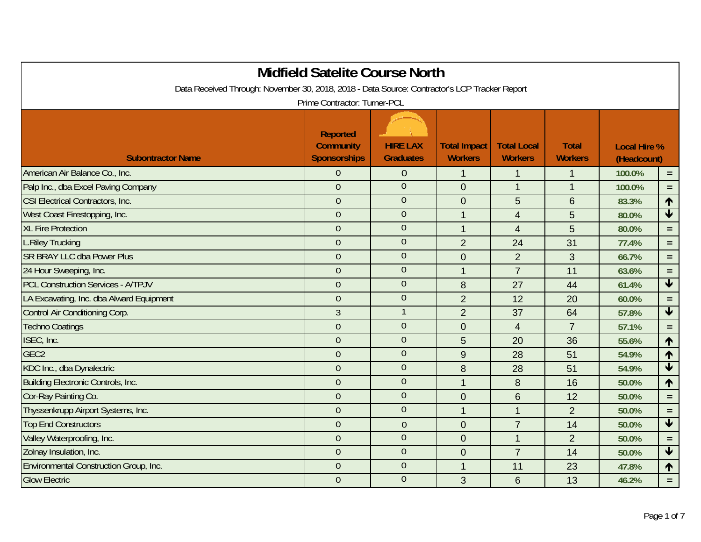| Data Received Through: November 30, 2018, 2018 - Data Source: Contractor's LCP Tracker Report | <b>Midfield Satelite Course North</b>                      |                                     |                                       |                                      |                                |                                    |                         |
|-----------------------------------------------------------------------------------------------|------------------------------------------------------------|-------------------------------------|---------------------------------------|--------------------------------------|--------------------------------|------------------------------------|-------------------------|
|                                                                                               | Prime Contractor: Turner-PCL                               |                                     |                                       |                                      |                                |                                    |                         |
| <b>Subontractor Name</b>                                                                      | <b>Reported</b><br><b>Community</b><br><b>Sponsorships</b> | <b>HIRE LAX</b><br><b>Graduates</b> | <b>Total Impact</b><br><b>Workers</b> | <b>Total Local</b><br><b>Workers</b> | <b>Total</b><br><b>Workers</b> | <b>Local Hire %</b><br>(Headcount) |                         |
| American Air Balance Co., Inc.                                                                | $\Omega$                                                   | $\overline{0}$                      | $\mathbf 1$                           | 1                                    |                                | 100.0%                             | $=$ .                   |
| Palp Inc., dba Excel Paving Company                                                           | $\overline{0}$                                             | $\overline{0}$                      | $\mathbf 0$                           | $\mathbf{1}$                         | $\mathbf{1}$                   | 100.0%                             | $=$                     |
| CSI Electrical Contractors, Inc.                                                              | $\overline{0}$                                             | $\theta$                            | $\mathbf 0$                           | 5                                    | $6\phantom{1}$                 | 83.3%                              | $\uparrow$              |
| West Coast Firestopping, Inc.                                                                 | $\overline{0}$                                             | $\overline{0}$                      | $\mathbf{1}$                          | $\overline{4}$                       | 5                              | 80.0%                              | $\overline{\textbf{t}}$ |
| <b>XL Fire Protection</b>                                                                     | $\overline{0}$                                             | $\overline{0}$                      | $\mathbf{1}$                          | $\overline{4}$                       | 5                              | 80.0%                              | $=$                     |
| <b>L.Riley Trucking</b>                                                                       | $\overline{0}$                                             | $\mathbf{0}$                        | $\overline{2}$                        | 24                                   | 31                             | 77.4%                              | $=$                     |
| <b>SR BRAY LLC dba Power Plus</b>                                                             | $\overline{0}$                                             | $\mathbf{0}$                        | $\mathbf{0}$                          | $\overline{2}$                       | 3                              | 66.7%                              | $=$                     |
| 24 Hour Sweeping, Inc.                                                                        | $\mathbf{0}$                                               | $\mathbf{0}$                        | $\mathbf{1}$                          | $\overline{7}$                       | 11                             | 63.6%                              | $=$                     |
| <b>PCL Construction Services - A/TPJV</b>                                                     | $\overline{0}$                                             | $\overline{0}$                      | 8                                     | 27                                   | 44                             | 61.4%                              | $\overline{\textbf{t}}$ |
| LA Excavating, Inc. dba Alward Equipment                                                      | $\mathbf{0}$                                               | $\mathbf{0}$                        | $\overline{2}$                        | 12                                   | 20                             | 60.0%                              | $=$                     |
| Control Air Conditioning Corp.                                                                | $\overline{3}$                                             |                                     | $\overline{2}$                        | 37                                   | 64                             | 57.8%                              | $\overline{\mathbf{t}}$ |
| <b>Techno Coatings</b>                                                                        | $\overline{0}$                                             | $\boldsymbol{0}$                    | $\mathbf 0$                           | $\overline{4}$                       | $\overline{7}$                 | 57.1%                              | $=$                     |
| ISEC, Inc.                                                                                    | $\overline{0}$                                             | $\theta$                            | 5                                     | 20                                   | 36                             | 55.6%                              | 1                       |
| GEC <sub>2</sub>                                                                              | $\overline{0}$                                             | $\overline{0}$                      | $\overline{9}$                        | 28                                   | 51                             | 54.9%                              | ↑                       |
| KDC Inc., dba Dynalectric                                                                     | $\overline{0}$                                             | $\overline{0}$                      | 8                                     | 28                                   | 51                             | 54.9%                              | $\blacktriangledown$    |
| <b>Building Electronic Controls, Inc.</b>                                                     | $\overline{0}$                                             | $\theta$                            | $\mathbf{1}$                          | 8                                    | 16                             | 50.0%                              | 1                       |
| Cor-Ray Painting Co.                                                                          | $\overline{0}$                                             | $\theta$                            | $\mathbf 0$                           | $6\phantom{1}$                       | 12                             | 50.0%                              | $\equiv$                |
| Thyssenkrupp Airport Systems, Inc.                                                            | $\overline{0}$                                             | $\overline{0}$                      | $\mathbf{1}$                          | $\overline{1}$                       | $\overline{2}$                 | 50.0%                              | $=$                     |
| <b>Top End Constructors</b>                                                                   | $\overline{0}$                                             | $\overline{0}$                      | $\mathbf{0}$                          | $\overline{7}$                       | 14                             | 50.0%                              | $\overline{\textbf{t}}$ |
| Valley Waterproofing, Inc.                                                                    | $\overline{0}$                                             | $\overline{0}$                      | $\overline{0}$                        | $\mathbf{1}$                         | $\overline{2}$                 | 50.0%                              | $=$                     |
| Zolnay Insulation, Inc.                                                                       | $\overline{0}$                                             | $\theta$                            | $\mathbf{0}$                          | $\overline{7}$                       | 14                             | 50.0%                              | $\overline{\mathbf{t}}$ |
| Environmental Construction Group, Inc.                                                        | $\overline{0}$                                             | $\overline{0}$                      | $\mathbf{1}$                          | 11                                   | 23                             | 47.8%                              | 1                       |
| <b>Glow Electric</b>                                                                          | $\overline{0}$                                             | $\overline{0}$                      | 3                                     | 6                                    | 13                             | 46.2%                              | $=$                     |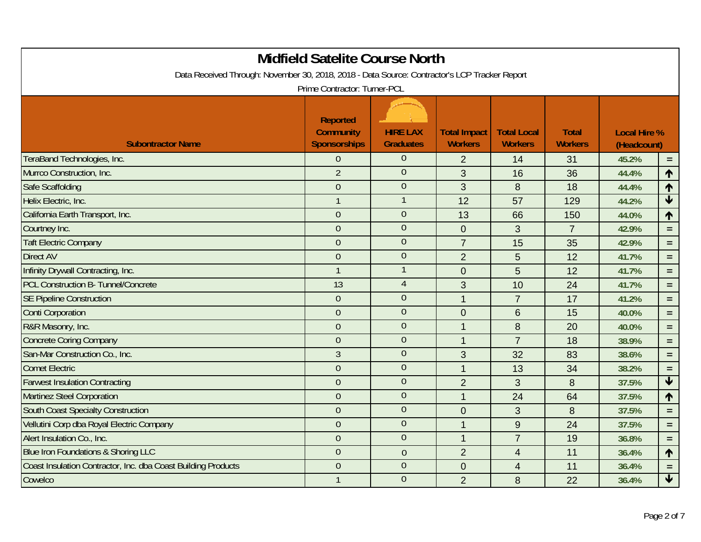|                                                                                               | <b>Midfield Satelite Course North</b>               |                                     |                                       |                                      |                                |                                    |                         |
|-----------------------------------------------------------------------------------------------|-----------------------------------------------------|-------------------------------------|---------------------------------------|--------------------------------------|--------------------------------|------------------------------------|-------------------------|
| Data Received Through: November 30, 2018, 2018 - Data Source: Contractor's LCP Tracker Report | Prime Contractor: Turner-PCL                        |                                     |                                       |                                      |                                |                                    |                         |
| <b>Subontractor Name</b>                                                                      | Reported<br><b>Community</b><br><b>Sponsorships</b> | <b>HIRE LAX</b><br><b>Graduates</b> | <b>Total Impact</b><br><b>Workers</b> | <b>Total Local</b><br><b>Workers</b> | <b>Total</b><br><b>Workers</b> | <b>Local Hire %</b><br>(Headcount) |                         |
| TeraBand Technologies, Inc.                                                                   | $\overline{0}$                                      | $\overline{0}$                      | $\overline{2}$                        | 14                                   | 31                             | 45.2%                              | $=$                     |
| Murrco Construction, Inc.                                                                     | $\overline{2}$                                      | $\overline{0}$                      | 3                                     | 16                                   | 36                             | 44.4%                              | 1                       |
| Safe Scaffolding                                                                              | $\overline{0}$                                      | $\overline{0}$                      | 3                                     | 8                                    | 18                             | 44.4%                              | 1                       |
| Helix Electric, Inc.                                                                          | $\mathbf{1}$                                        | $\mathbf{1}$                        | 12                                    | 57                                   | 129                            | 44.2%                              | $\overline{\textbf{t}}$ |
| California Earth Transport, Inc.                                                              | $\mathbf{0}$                                        | $\mathbf{0}$                        | 13                                    | 66                                   | 150                            | 44.0%                              | ↑                       |
| Courtney Inc.                                                                                 | $\overline{0}$                                      | $\overline{0}$                      | $\mathbf 0$                           | 3                                    | $\overline{7}$                 | 42.9%                              | $\equiv$                |
| <b>Taft Electric Company</b>                                                                  | $\overline{0}$                                      | $\overline{0}$                      | $\overline{7}$                        | 15                                   | 35                             | 42.9%                              | $\equiv$                |
| <b>Direct AV</b>                                                                              | $\overline{0}$                                      | $\overline{0}$                      | $\overline{2}$                        | 5                                    | 12                             | 41.7%                              | $\equiv$                |
| Infinity Drywall Contracting, Inc.                                                            | $\mathbf{1}$                                        | $\mathbf{1}$                        | $\mathbf 0$                           | 5                                    | 12                             | 41.7%                              | $\equiv$                |
| PCL Construction B- Tunnel/Concrete                                                           | 13                                                  | $\overline{4}$                      | $\mathfrak{S}$                        | 10                                   | 24                             | 41.7%                              | $\equiv$                |
| <b>SE Pipeline Construction</b>                                                               | $\overline{0}$                                      | $\overline{0}$                      | $\mathbf{1}$                          | $\overline{7}$                       | 17                             | 41.2%                              | $\equiv$                |
| <b>Conti Corporation</b>                                                                      | $\overline{0}$                                      | $\overline{0}$                      | $\mathbf 0$                           | 6                                    | 15                             | 40.0%                              | $\equiv$                |
| R&R Masonry, Inc.                                                                             | $\mathbf{0}$                                        | $\boldsymbol{0}$                    | $\mathbf{1}$                          | 8                                    | 20                             | 40.0%                              | $\equiv$                |
| <b>Concrete Coring Company</b>                                                                | $\overline{0}$                                      | $\overline{0}$                      | $\mathbf{1}$                          | $\overline{7}$                       | 18                             | 38.9%                              | $\equiv$                |
| San-Mar Construction Co., Inc.                                                                | 3                                                   | $\overline{0}$                      | 3                                     | 32                                   | 83                             | 38.6%                              | $\equiv$                |
| <b>Comet Electric</b>                                                                         | $\overline{0}$                                      | $\overline{0}$                      | $\mathbf{1}$                          | 13                                   | 34                             | 38.2%                              | $\equiv$                |
| <b>Farwest Insulation Contracting</b>                                                         | $\overline{0}$                                      | $\overline{0}$                      | $\overline{2}$                        | 3                                    | 8                              | 37.5%                              | $\blacklozenge$         |
| <b>Martinez Steel Corporation</b>                                                             | $\overline{0}$                                      | $\overline{0}$                      | $\mathbf{1}$                          | 24                                   | 64                             | 37.5%                              | ↑                       |
| <b>South Coast Specialty Construction</b>                                                     | $\overline{0}$                                      | $\overline{0}$                      | $\mathbf 0$                           | 3                                    | 8                              | 37.5%                              | $\equiv$                |
| Vellutini Corp dba Royal Electric Company                                                     | $\overline{0}$                                      | $\overline{0}$                      | $\mathbf{1}$                          | $9\,$                                | 24                             | 37.5%                              | $\equiv$                |
| Alert Insulation Co., Inc.                                                                    | $\mathbf{0}$                                        | $\mathbf{0}$                        | $\overline{1}$                        | $\overline{7}$                       | 19                             | 36.8%                              | $\equiv$                |
| Blue Iron Foundations & Shoring LLC                                                           | $\mathbf{0}$                                        | $\theta$                            | $\overline{2}$                        | $\overline{4}$                       | 11                             | 36.4%                              | $\uparrow$              |
| Coast Insulation Contractor, Inc. dba Coast Building Products                                 | $\overline{0}$                                      | $\overline{0}$                      | $\overline{0}$                        | 4                                    | 11                             | 36.4%                              | $\equiv$                |
| Cowelco                                                                                       | $\mathbf{1}$                                        | $\overline{0}$                      | $\overline{2}$                        | 8                                    | 22                             | 36.4%                              | $\blacklozenge$         |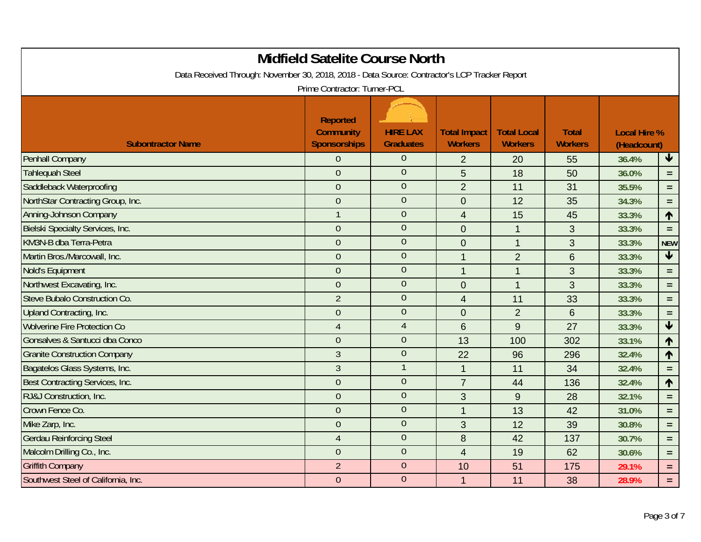| Data Received Through: November 30, 2018, 2018 - Data Source: Contractor's LCP Tracker Report | <b>Midfield Satelite Course North</b>                                                      |                                     |                                       |                                      |                                |                                    |                         |
|-----------------------------------------------------------------------------------------------|--------------------------------------------------------------------------------------------|-------------------------------------|---------------------------------------|--------------------------------------|--------------------------------|------------------------------------|-------------------------|
| <b>Subontractor Name</b>                                                                      | Prime Contractor: Turner-PCL<br><b>Reported</b><br><b>Community</b><br><b>Sponsorships</b> | <b>HIRE LAX</b><br><b>Graduates</b> | <b>Total Impact</b><br><b>Workers</b> | <b>Total Local</b><br><b>Workers</b> | <b>Total</b><br><b>Workers</b> | <b>Local Hire %</b><br>(Headcount) |                         |
| <b>Penhall Company</b>                                                                        | $\overline{0}$                                                                             | $\overline{0}$                      | 2                                     | 20                                   | 55                             | 36.4%                              | $\blacklozenge$         |
| <b>Tahlequah Steel</b>                                                                        | $\overline{0}$                                                                             | $\mathbf{0}$                        | 5                                     | 18                                   | 50                             | 36.0%                              | $=$                     |
| Saddleback Waterproofing                                                                      | $\overline{0}$                                                                             | $\overline{0}$                      | $\overline{2}$                        | 11                                   | 31                             | 35.5%                              | $\equiv$                |
| NorthStar Contracting Group, Inc.                                                             | $\overline{0}$                                                                             | $\overline{0}$                      | $\mathbf 0$                           | 12                                   | 35                             | 34.3%                              | $=$                     |
| <b>Anning-Johnson Company</b>                                                                 | $\mathbf{1}$                                                                               | $\mathbf{0}$                        | $\overline{4}$                        | 15                                   | 45                             | 33.3%                              | $\uparrow$              |
| <b>Bielski Specialty Services, Inc.</b>                                                       | $\overline{0}$                                                                             | $\overline{0}$                      | $\mathbf 0$                           | $\mathbf{1}$                         | 3                              | 33.3%                              | $\equiv$                |
| KM3N-B dba Terra-Petra                                                                        | $\overline{0}$                                                                             | $\mathbf{0}$                        | $\mathbf 0$                           | $\mathbf 1$                          | 3                              | 33.3%                              | <b>NEW</b>              |
| Martin Bros./Marcowall, Inc.                                                                  | $\overline{0}$                                                                             | $\overline{0}$                      | $\mathbf{1}$                          | $\overline{2}$                       | 6                              | 33.3%                              | $\blacklozenge$         |
| <b>Nold's Equipment</b>                                                                       | $\overline{0}$                                                                             | $\overline{0}$                      | $\mathbf{1}$                          | $\mathbf{1}$                         | 3                              | 33.3%                              | $\equiv$                |
| Northwest Excavating, Inc.                                                                    | $\mathbf{0}$                                                                               | $\overline{0}$                      | $\mathbf 0$                           | $\mathbf{1}$                         | 3                              | 33.3%                              | $\equiv$                |
| Steve Bubalo Construction Co.                                                                 | $\overline{2}$                                                                             | $\overline{0}$                      | $\overline{4}$                        | 11                                   | 33                             | 33.3%                              | $\equiv$                |
| Upland Contracting, Inc.                                                                      | $\overline{0}$                                                                             | $\mathbf{0}$                        | $\mathbf 0$                           | $\overline{2}$                       | 6                              | 33.3%                              | $\equiv$                |
| <b>Wolverine Fire Protection Co</b>                                                           | $\overline{4}$                                                                             | $\overline{4}$                      | 6                                     | 9                                    | 27                             | 33.3%                              | $\overline{\textbf{t}}$ |
| Gonsalves & Santucci dba Conco                                                                | $\overline{0}$                                                                             | $\overline{0}$                      | 13                                    | 100                                  | 302                            | 33.1%                              | ↑                       |
| <b>Granite Construction Company</b>                                                           | 3                                                                                          | $\mathbf{0}$                        | 22                                    | 96                                   | 296                            | 32.4%                              | ↑                       |
| Bagatelos Glass Systems, Inc.                                                                 | $\overline{3}$                                                                             | $\mathbf{1}$                        | $\mathbf{1}$                          | 11                                   | 34                             | 32.4%                              | $\equiv$                |
| Best Contracting Services, Inc.                                                               | $\overline{0}$                                                                             | $\overline{0}$                      | $\overline{7}$                        | 44                                   | 136                            | 32.4%                              | $\blacklozenge$         |
| RJ&J Construction, Inc.                                                                       | $\overline{0}$                                                                             | $\overline{0}$                      | 3                                     | $\overline{9}$                       | 28                             | 32.1%                              | $\equiv$                |
| Crown Fence Co.                                                                               | $\overline{0}$                                                                             | $\overline{0}$                      | $\mathbf{1}$                          | 13                                   | 42                             | 31.0%                              | $\equiv$                |
| Mike Zarp, Inc.                                                                               | $\overline{0}$                                                                             | $\theta$                            | 3                                     | 12                                   | 39                             | 30.8%                              | $\equiv$                |
| <b>Gerdau Reinforcing Steel</b>                                                               | $\overline{4}$                                                                             | $\boldsymbol{0}$                    | $\bf 8$                               | 42                                   | 137                            | 30.7%                              | $\equiv$                |
| Malcolm Drilling Co., Inc.                                                                    | $\overline{0}$                                                                             | $\theta$                            | $\overline{4}$                        | 19                                   | 62                             | 30.6%                              | $\equiv$                |
| <b>Griffith Company</b>                                                                       | $\overline{2}$                                                                             | $\overline{0}$                      | 10                                    | 51                                   | 175                            | 29.1%                              | $\equiv$                |
| Southwest Steel of California, Inc.                                                           | $\overline{0}$                                                                             | $\overline{0}$                      | $\mathbf{1}$                          | 11                                   | 38                             | 28.9%                              | $\equiv$                |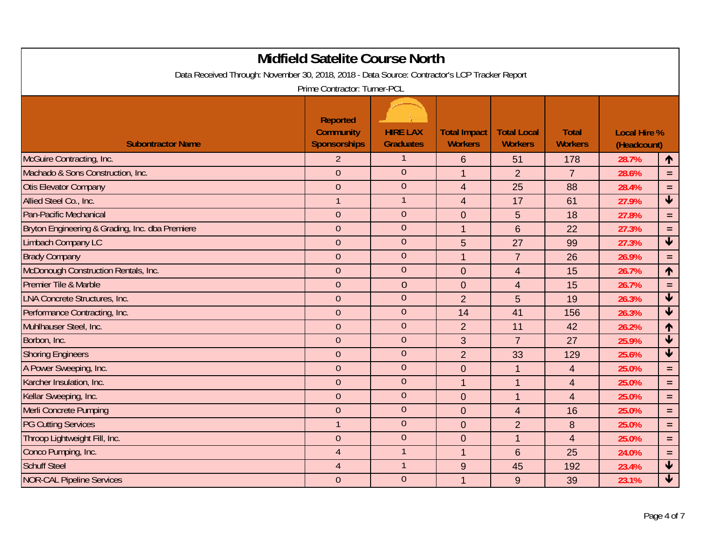|                                                                                               | <b>Midfield Satelite Course North</b>                      |                                     |                                       |                                      |                                |                                    |                            |
|-----------------------------------------------------------------------------------------------|------------------------------------------------------------|-------------------------------------|---------------------------------------|--------------------------------------|--------------------------------|------------------------------------|----------------------------|
| Data Received Through: November 30, 2018, 2018 - Data Source: Contractor's LCP Tracker Report | Prime Contractor: Turner-PCL                               |                                     |                                       |                                      |                                |                                    |                            |
| <b>Subontractor Name</b>                                                                      | <b>Reported</b><br><b>Community</b><br><b>Sponsorships</b> | <b>HIRE LAX</b><br><b>Graduates</b> | <b>Total Impact</b><br><b>Workers</b> | <b>Total Local</b><br><b>Workers</b> | <b>Total</b><br><b>Workers</b> | <b>Local Hire %</b><br>(Headcount) |                            |
| McGuire Contracting, Inc.                                                                     | $\overline{2}$                                             | $\mathbf{1}$                        | $6\phantom{1}6$                       | 51                                   | 178                            | 28.7%                              | ↑                          |
| Machado & Sons Construction, Inc.                                                             | $\overline{0}$                                             | $\overline{0}$                      | $\overline{1}$                        | $\overline{2}$                       | $\overline{7}$                 | 28.6%                              | $\equiv$                   |
| <b>Otis Elevator Company</b>                                                                  | $\overline{0}$                                             | $\overline{0}$                      | $\overline{4}$                        | 25                                   | 88                             | 28.4%                              | $\equiv$                   |
| Allied Steel Co., Inc.                                                                        | $\mathbf{1}$                                               | $\mathbf 1$                         | $\overline{4}$                        | 17                                   | 61                             | 27.9%                              | $\blacklozenge$            |
| Pan-Pacific Mechanical                                                                        | $\boldsymbol{0}$                                           | $\theta$                            | $\mathbf 0$                           | 5                                    | 18                             | 27.8%                              | $\equiv$                   |
| Bryton Engineering & Grading, Inc. dba Premiere                                               | $\overline{0}$                                             | $\overline{0}$                      | $\overline{1}$                        | 6                                    | 22                             | 27.3%                              | $\equiv$                   |
| <b>Limbach Company LC</b>                                                                     | $\overline{0}$                                             | $\mathbf{0}$                        | 5                                     | 27                                   | 99                             | 27.3%                              | $\blacklozenge$            |
| <b>Brady Company</b>                                                                          | $\overline{0}$                                             | $\mathbf{0}$                        | $\overline{1}$                        | $\overline{7}$                       | 26                             | 26.9%                              | $=$                        |
| McDonough Construction Rentals, Inc.                                                          | $\overline{0}$                                             | $\overline{0}$                      | $\mathbf 0$                           | $\overline{4}$                       | 15                             | 26.7%                              | $\uparrow$                 |
| Premier Tile & Marble                                                                         | $\mathbf 0$                                                | $\theta$                            | $\mathbf 0$                           | $\overline{4}$                       | 15                             | 26.7%                              | $\equiv$                   |
| <b>LNA Concrete Structures, Inc.</b>                                                          | $\overline{0}$                                             | $\overline{0}$                      | $\overline{2}$                        | 5                                    | 19                             | 26.3%                              | $\bigstar$                 |
| Performance Contracting, Inc.                                                                 | $\overline{0}$                                             | $\mathbf{0}$                        | 14                                    | 41                                   | 156                            | 26.3%                              | $\overline{\textbf{t}}$    |
| Muhlhauser Steel, Inc.                                                                        | $\overline{0}$                                             | $\theta$                            | $\overline{2}$                        | 11                                   | 42                             | 26.2%                              | $\uparrow$                 |
| Borbon, Inc.                                                                                  | $\overline{0}$                                             | $\overline{0}$                      | 3                                     | $\overline{7}$                       | 27                             | 25.9%                              | $\blacklozenge$            |
| <b>Shoring Engineers</b>                                                                      | $\theta$                                                   | $\overline{0}$                      | $\overline{2}$                        | 33                                   | 129                            | 25.6%                              | $\overline{\blacklozenge}$ |
| A Power Sweeping, Inc.                                                                        | $\boldsymbol{0}$                                           | $\theta$                            | $\mathbf 0$                           | $\mathbf{1}$                         | $\overline{4}$                 | 25.0%                              | $\equiv$                   |
| Karcher Insulation, Inc.                                                                      | $\overline{0}$                                             | $\overline{0}$                      | $\overline{1}$                        | $\mathbf{1}$                         | $\overline{4}$                 | 25.0%                              | $\equiv$                   |
| Kellar Sweeping, Inc.                                                                         | $\overline{0}$                                             | $\theta$                            | $\overline{0}$                        | $\mathbf{1}$                         | $\overline{4}$                 | 25.0%                              | $\equiv$                   |
| Merli Concrete Pumping                                                                        | $\theta$                                                   | $\overline{0}$                      | $\mathbf 0$                           | $\overline{4}$                       | 16                             | 25.0%                              | $\equiv$                   |
| <b>PG Cutting Services</b>                                                                    | $\mathbf{1}$                                               | $\theta$                            | $\mathbf 0$                           | $\overline{2}$                       | 8                              | 25.0%                              | $\equiv$                   |
| Throop Lightweight Fill, Inc.                                                                 | $\mathbf 0$                                                | $\mathbf 0$                         | $\mathbf 0$                           | $\mathbf{1}$                         | $\overline{4}$                 | 25.0%                              | $\equiv$                   |
| Conco Pumping, Inc.                                                                           | $\overline{4}$                                             | $\mathbf{1}$                        | $\overline{1}$                        | $6\phantom{1}$                       | 25                             | 24.0%                              | $\equiv$                   |
| <b>Schuff Steel</b>                                                                           | $\overline{4}$                                             | $\mathbf{1}$                        | 9                                     | 45                                   | 192                            | 23.4%                              | $\overline{\textbf{t}}$    |
| <b>NOR-CAL Pipeline Services</b>                                                              | $\overline{0}$                                             | $\overline{0}$                      | $\overline{1}$                        | 9                                    | 39                             | 23.1%                              | $\overline{\mathbf{t}}$    |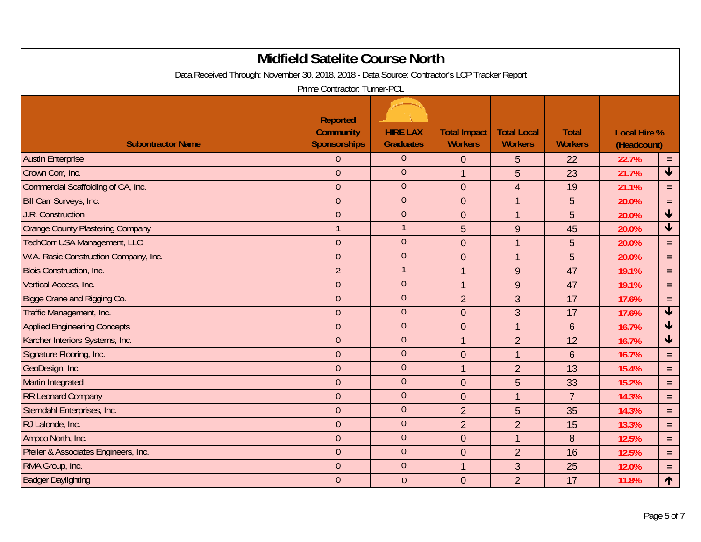|                                                                                               | <b>Midfield Satelite Course North</b>               |                                     |                                       |                                      |                                |                                    |                            |
|-----------------------------------------------------------------------------------------------|-----------------------------------------------------|-------------------------------------|---------------------------------------|--------------------------------------|--------------------------------|------------------------------------|----------------------------|
| Data Received Through: November 30, 2018, 2018 - Data Source: Contractor's LCP Tracker Report | Prime Contractor: Turner-PCL                        |                                     |                                       |                                      |                                |                                    |                            |
| <b>Subontractor Name</b>                                                                      | Reported<br><b>Community</b><br><b>Sponsorships</b> | <b>HIRE LAX</b><br><b>Graduates</b> | <b>Total Impact</b><br><b>Workers</b> | <b>Total Local</b><br><b>Workers</b> | <b>Total</b><br><b>Workers</b> | <b>Local Hire %</b><br>(Headcount) |                            |
| <b>Austin Enterprise</b>                                                                      | $\overline{0}$                                      | $\overline{0}$                      | $\mathbf 0$                           | 5                                    | 22                             | 22.7%                              | $\equiv$                   |
| Crown Corr, Inc.                                                                              | $\overline{0}$                                      | $\theta$                            | $\mathbf{1}$                          | 5                                    | 23                             | 21.7%                              | $\overline{\textbf{t}}$    |
| Commercial Scaffolding of CA, Inc.                                                            | $\overline{0}$                                      | $\overline{0}$                      | $\mathbf 0$                           | $\overline{4}$                       | 19                             | 21.1%                              | $\equiv$                   |
| Bill Carr Surveys, Inc.                                                                       | $\overline{0}$                                      | $\overline{0}$                      | $\mathbf 0$                           | $\mathbf{1}$                         | 5                              | 20.0%                              | $\equiv$                   |
| <b>J.R. Construction</b>                                                                      | $\overline{0}$                                      | $\theta$                            | $\overline{0}$                        | $\mathbf{1}$                         | 5                              | 20.0%                              | $\blacklozenge$            |
| Orange County Plastering Company                                                              | $\mathbf{1}$                                        | $\overline{1}$                      | 5                                     | 9                                    | 45                             | 20.0%                              | $\overline{\blacklozenge}$ |
| TechCorr USA Management, LLC                                                                  | $\mathbf{0}$                                        | $\theta$                            | $\overline{0}$                        | $\mathbf 1$                          | 5                              | 20.0%                              | $\equiv$                   |
| W.A. Rasic Construction Company, Inc.                                                         | $\overline{0}$                                      | $\mathbf{0}$                        | $\overline{0}$                        | $\mathbf{1}$                         | 5                              | 20.0%                              | $\equiv$                   |
| <b>Blois Construction, Inc.</b>                                                               | $\overline{2}$                                      | $\mathbf{1}$                        | $\overline{1}$                        | $\overline{9}$                       | 47                             | 19.1%                              | $\equiv$                   |
| Vertical Access, Inc.                                                                         | $\mathbf{0}$                                        | $\mathbf{0}$                        | $\mathbf{1}$                          | 9                                    | 47                             | 19.1%                              | $\equiv$                   |
| Bigge Crane and Rigging Co.                                                                   | $\overline{0}$                                      | $\overline{0}$                      | $\overline{2}$                        | 3                                    | 17                             | 17.6%                              | $\equiv$                   |
| Traffic Management, Inc.                                                                      | $\theta$                                            | $\mathbf{0}$                        | $\overline{0}$                        | 3                                    | 17                             | 17.6%                              | $\overline{\textbf{t}}$    |
| <b>Applied Engineering Concepts</b>                                                           | $\overline{0}$                                      | $\overline{0}$                      | $\overline{0}$                        | $\mathbf 1$                          | $6\phantom{1}6$                | 16.7%                              | $\overline{\textbf{t}}$    |
| Karcher Interiors Systems, Inc.                                                               | $\overline{0}$                                      | $\overline{0}$                      | $\overline{1}$                        | $\overline{2}$                       | 12                             | 16.7%                              | $\overline{\textbf{t}}$    |
| Signature Flooring, Inc.                                                                      | $\mathbf 0$                                         | $\theta$                            | $\mathbf 0$                           | $\mathbf{1}$                         | $6\phantom{1}6$                | 16.7%                              | $\equiv$                   |
| GeoDesign, Inc.                                                                               | $\mathbf{0}$                                        | $\overline{0}$                      | $\mathbf{1}$                          | $\overline{2}$                       | 13                             | 15.4%                              | $\equiv$                   |
| Martin Integrated                                                                             | $\overline{0}$                                      | $\overline{0}$                      | $\overline{0}$                        | 5                                    | 33                             | 15.2%                              | $\equiv$                   |
| <b>RR Leonard Company</b>                                                                     | $\overline{0}$                                      | $\overline{0}$                      | $\mathbf 0$                           | $\mathbf{1}$                         | $\overline{7}$                 | 14.3%                              | $\equiv$                   |
| Sterndahl Enterprises, Inc.                                                                   | $\mathbf{0}$                                        | $\overline{0}$                      | $\overline{2}$                        | 5                                    | 35                             | 14.3%                              | $\equiv$                   |
| RJ Lalonde, Inc.                                                                              | $\overline{0}$                                      | $\theta$                            | $\overline{2}$                        | $\overline{2}$                       | 15                             | 13.3%                              | $\equiv$                   |
| Ampco North, Inc.                                                                             | $\overline{0}$                                      | $\theta$                            | $\mathbf 0$                           | $\mathbf 1$                          | 8                              | 12.5%                              | $\equiv$                   |
| Pfeiler & Associates Engineers, Inc.                                                          | $\theta$                                            | $\theta$                            | $\mathbf 0$                           | $\overline{2}$                       | 16                             | 12.5%                              | $\equiv$                   |
| RMA Group, Inc.                                                                               | $\overline{0}$                                      | $\overline{0}$                      | $\overline{1}$                        | 3                                    | 25                             | 12.0%                              | $\equiv$                   |
| <b>Badger Daylighting</b>                                                                     | $\overline{0}$                                      | $\theta$                            | $\overline{0}$                        | $\overline{2}$                       | 17                             | 11.8%                              | 个                          |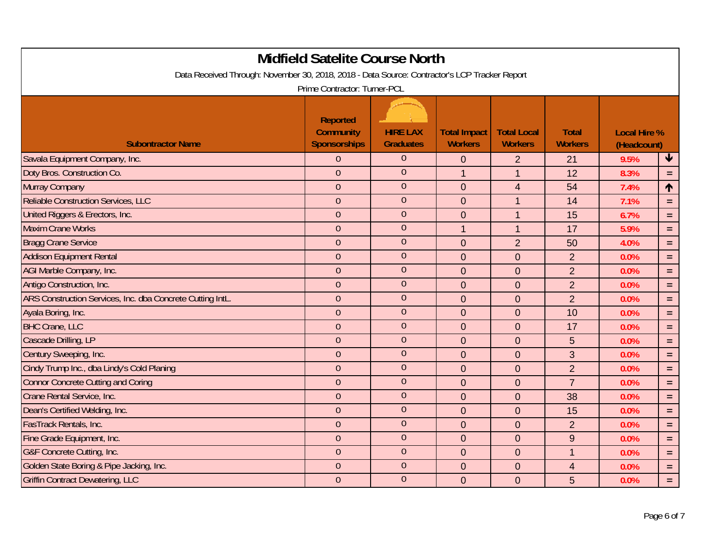| <b>Midfield Satelite Course North</b><br>Data Received Through: November 30, 2018, 2018 - Data Source: Contractor's LCP Tracker Report |                                                                                            |                                     |                                       |                                      |                                |                                    |                 |  |
|----------------------------------------------------------------------------------------------------------------------------------------|--------------------------------------------------------------------------------------------|-------------------------------------|---------------------------------------|--------------------------------------|--------------------------------|------------------------------------|-----------------|--|
| <b>Subontractor Name</b>                                                                                                               | Prime Contractor: Turner-PCL<br><b>Reported</b><br><b>Community</b><br><b>Sponsorships</b> | <b>HIRE LAX</b><br><b>Graduates</b> | <b>Total Impact</b><br><b>Workers</b> | <b>Total Local</b><br><b>Workers</b> | <b>Total</b><br><b>Workers</b> | <b>Local Hire %</b><br>(Headcount) |                 |  |
| Savala Equipment Company, Inc.                                                                                                         | $\overline{0}$                                                                             | $\overline{0}$                      | $\mathbf{0}$                          | $\overline{2}$                       | 21                             | 9.5%                               | $\blacklozenge$ |  |
| Doty Bros. Construction Co.                                                                                                            | $\overline{0}$                                                                             | $\theta$                            | $\mathbf{1}$                          | $\mathbf 1$                          | 12                             | 8.3%                               | $\equiv$        |  |
| Murray Company                                                                                                                         | $\overline{0}$                                                                             | $\overline{0}$                      | $\mathbf 0$                           | 4                                    | 54                             | 7.4%                               | $\uparrow$      |  |
| <b>Reliable Construction Services, LLC</b>                                                                                             | $\overline{0}$                                                                             | $\overline{0}$                      | $\mathbf 0$                           | $\mathbf 1$                          | 14                             | 7.1%                               | $\equiv$        |  |
| United Riggers & Erectors, Inc.                                                                                                        | $\overline{0}$                                                                             | $\theta$                            | $\overline{0}$                        | $\mathbf{1}$                         | 15                             | 6.7%                               | $\equiv$        |  |
| <b>Maxim Crane Works</b>                                                                                                               | $\overline{0}$                                                                             | $\overline{0}$                      | $\overline{1}$                        | $\mathbf{1}$                         | 17                             | 5.9%                               | $\equiv$        |  |
| <b>Bragg Crane Service</b>                                                                                                             | $\overline{0}$                                                                             | $\theta$                            | $\overline{0}$                        | $\overline{2}$                       | 50                             | 4.0%                               | $\equiv$        |  |
| <b>Addison Equipment Rental</b>                                                                                                        | $\overline{0}$                                                                             | $\overline{0}$                      | $\overline{0}$                        | $\overline{0}$                       | $\overline{2}$                 | 0.0%                               | $\equiv$        |  |
| AGI Marble Company, Inc.                                                                                                               | $\overline{0}$                                                                             | $\overline{0}$                      | $\mathbf 0$                           | $\mathbf 0$                          | $\overline{2}$                 | 0.0%                               | $\equiv$        |  |
| Antigo Construction, Inc.                                                                                                              | $\overline{0}$                                                                             | $\boldsymbol{0}$                    | $\mathbf 0$                           | $\mathbf 0$                          | $\overline{2}$                 | 0.0%                               | $\equiv$        |  |
| ARS Construction Services, Inc. dba Concrete Cutting IntL.                                                                             | $\overline{0}$                                                                             | $\overline{0}$                      | $\overline{0}$                        | $\overline{0}$                       | $\overline{2}$                 | 0.0%                               | $\equiv$        |  |
| Ayala Boring, Inc.                                                                                                                     | $\overline{0}$                                                                             | $\theta$                            | $\overline{0}$                        | $\mathbf 0$                          | 10                             | 0.0%                               | $\equiv$        |  |
| <b>BHC Crane, LLC</b>                                                                                                                  | $\overline{0}$                                                                             | $\overline{0}$                      | $\overline{0}$                        | $\overline{0}$                       | 17                             | 0.0%                               | $\equiv$        |  |
| Cascade Drilling, LP                                                                                                                   | $\overline{0}$                                                                             | $\theta$                            | $\mathbf 0$                           | $\overline{0}$                       | 5                              | 0.0%                               | $\equiv$        |  |
| Century Sweeping, Inc.                                                                                                                 | $\overline{0}$                                                                             | $\theta$                            | $\mathbf 0$                           | $\mathbf 0$                          | 3                              | 0.0%                               | $\equiv$        |  |
| Cindy Trump Inc., dba Lindy's Cold Planing                                                                                             | $\overline{0}$                                                                             | $\overline{0}$                      | $\mathbf 0$                           | $\mathbf 0$                          | $\overline{2}$                 | 0.0%                               | $\equiv$        |  |
| <b>Connor Concrete Cutting and Coring</b>                                                                                              | $\overline{0}$                                                                             | $\overline{0}$                      | $\mathbf 0$                           | $\overline{0}$                       | $\overline{7}$                 | 0.0%                               | $\equiv$        |  |
| Crane Rental Service, Inc.                                                                                                             | $\overline{0}$                                                                             | $\overline{0}$                      | $\overline{0}$                        | $\overline{0}$                       | 38                             | 0.0%                               | $\equiv$        |  |
| Dean's Certified Welding, Inc.                                                                                                         | $\overline{0}$                                                                             | $\overline{0}$                      | $\mathbf 0$                           | $\overline{0}$                       | 15                             | 0.0%                               | $\equiv$        |  |
| FasTrack Rentals, Inc.                                                                                                                 | $\overline{0}$                                                                             | $\theta$                            | $\overline{0}$                        | $\overline{0}$                       | $\overline{2}$                 | 0.0%                               | $\equiv$        |  |
| Fine Grade Equipment, Inc.                                                                                                             | $\overline{0}$                                                                             | $\theta$                            | $\mathbf 0$                           | $\mathbf 0$                          | 9                              | 0.0%                               | $\equiv$        |  |
| G&F Concrete Cutting, Inc.                                                                                                             | $\overline{0}$                                                                             | $\theta$                            | $\mathbf 0$                           | $\overline{0}$                       | $\mathbf 1$                    | 0.0%                               | $\equiv$        |  |
| Golden State Boring & Pipe Jacking, Inc.                                                                                               | $\overline{0}$                                                                             | $\overline{0}$                      | $\overline{0}$                        | $\overline{0}$                       | $\overline{4}$                 | 0.0%                               | $\equiv$        |  |
| <b>Griffin Contract Dewatering, LLC</b>                                                                                                | $\overline{0}$                                                                             | $\overline{0}$                      | $\overline{0}$                        | $\overline{0}$                       | 5                              | 0.0%                               | $\equiv$        |  |